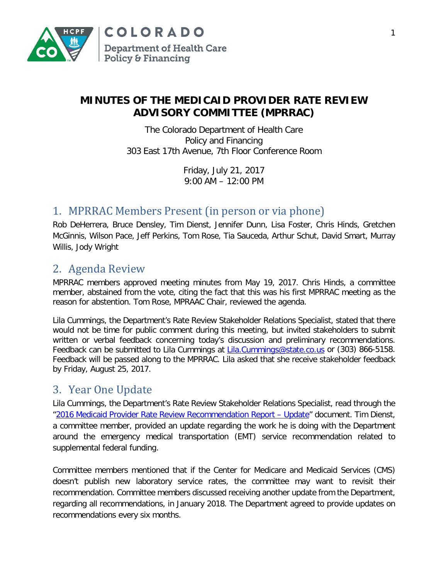

### **MINUTES OF THE MEDICAID PROVIDER RATE REVIEW ADVISORY COMMITTEE (MPRRAC)**

The Colorado Department of Health Care Policy and Financing 303 East 17th Avenue, 7th Floor Conference Room

> Friday, July 21, 2017 9:00 AM – 12:00 PM

### 1. MPRRAC Members Present (in person or via phone)

Rob DeHerrera, Bruce Densley, Tim Dienst, Jennifer Dunn, Lisa Foster, Chris Hinds, Gretchen McGinnis, Wilson Pace, Jeff Perkins, Tom Rose, Tia Sauceda, Arthur Schut, David Smart, Murray Willis, Jody Wright

# 2. Agenda Review

MPRRAC members approved meeting minutes from May 19, 2017. Chris Hinds, a committee member, abstained from the vote, citing the fact that this was his first MPRRAC meeting as the reason for abstention. Tom Rose, MPRAAC Chair, reviewed the agenda.

Lila Cummings, the Department's Rate Review Stakeholder Relations Specialist, stated that there would not be time for public comment during this meeting, but invited stakeholders to submit written or verbal feedback concerning today's discussion and preliminary recommendations. Feedback can be submitted to Lila Cummings at [Lila.Cummings@state.co.us](mailto:Lila.Cummings@state.co.us) or (303) 866-5158. Feedback will be passed along to the MPRRAC. Lila asked that she receive stakeholder feedback by Friday, August 25, 2017.

# 3. Year One Update

Lila Cummings, the Department's Rate Review Stakeholder Relations Specialist, read through the ["2016 Medicaid Provider Rate Review Recommendation Report –](https://www.colorado.gov/pacific/sites/default/files/MPRRAC%202016%20Recommendations%20Update%20-%2007-21-2017.pdf) Update" document. Tim Dienst, a committee member, provided an update regarding the work he is doing with the Department around the emergency medical transportation (EMT) service recommendation related to supplemental federal funding.

Committee members mentioned that if the Center for Medicare and Medicaid Services (CMS) doesn't publish new laboratory service rates, the committee may want to revisit their recommendation. Committee members discussed receiving another update from the Department, regarding all recommendations, in January 2018. The Department agreed to provide updates on recommendations every six months.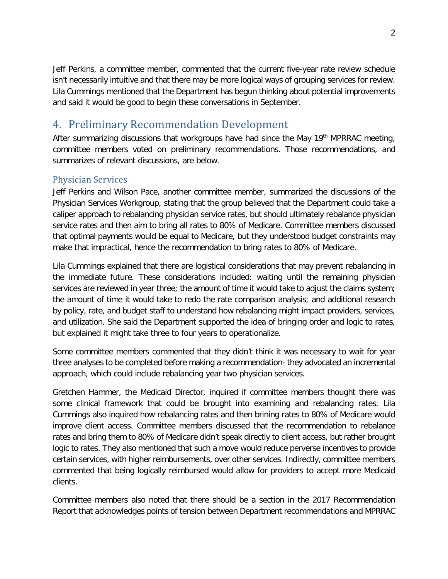Jeff Perkins, a committee member, commented that the current five-year rate review schedule isn't necessarily intuitive and that there may be more logical ways of grouping services for review. Lila Cummings mentioned that the Department has begun thinking about potential improvements and said it would be good to begin these conversations in September.

# 4. Preliminary Recommendation Development

After summarizing discussions that workgroups have had since the May 19<sup>th</sup> MPRRAC meeting, committee members voted on preliminary recommendations. Those recommendations, and summarizes of relevant discussions, are below.

### Physician Services

Jeff Perkins and Wilson Pace, another committee member, summarized the discussions of the Physician Services Workgroup, stating that the group believed that the Department could take a caliper approach to rebalancing physician service rates, but should ultimately rebalance physician service rates and then aim to bring all rates to 80% of Medicare. Committee members discussed that optimal payments would be equal to Medicare, but they understood budget constraints may make that impractical, hence the recommendation to bring rates to 80% of Medicare.

Lila Cummings explained that there are logistical considerations that may prevent rebalancing in the immediate future. These considerations included: waiting until the remaining physician services are reviewed in year three; the amount of time it would take to adjust the claims system; the amount of time it would take to redo the rate comparison analysis; and additional research by policy, rate, and budget staff to understand how rebalancing might impact providers, services, and utilization. She said the Department supported the idea of bringing order and logic to rates, but explained it might take three to four years to operationalize.

Some committee members commented that they didn't think it was necessary to wait for year three analyses to be completed before making a recommendation- they advocated an incremental approach, which could include rebalancing year two physician services.

Gretchen Hammer, the Medicaid Director, inquired if committee members thought there was some clinical framework that could be brought into examining and rebalancing rates. Lila Cummings also inquired how rebalancing rates and then brining rates to 80% of Medicare would improve client access. Committee members discussed that the recommendation to rebalance rates and bring them to 80% of Medicare didn't speak directly to client access, but rather brought logic to rates. They also mentioned that such a move would reduce perverse incentives to provide certain services, with higher reimbursements, over other services. Indirectly, committee members commented that being logically reimbursed would allow for providers to accept more Medicaid clients.

Committee members also noted that there should be a section in the 2017 Recommendation Report that acknowledges points of tension between Department recommendations and MPRRAC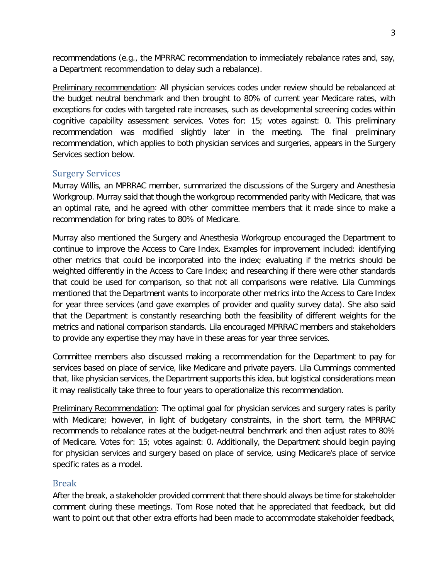recommendations (e.g., the MPRRAC recommendation to immediately rebalance rates and, say, a Department recommendation to delay such a rebalance).

Preliminary recommendation: All physician services codes under review should be rebalanced at the budget neutral benchmark and then brought to 80% of current year Medicare rates, with exceptions for codes with targeted rate increases, such as developmental screening codes within cognitive capability assessment services. Votes for: 15; votes against: 0. This preliminary recommendation was modified slightly later in the meeting. The final preliminary recommendation, which applies to both physician services and surgeries, appears in the Surgery Services section below.

#### Surgery Services

Murray Willis, an MPRRAC member, summarized the discussions of the Surgery and Anesthesia Workgroup. Murray said that though the workgroup recommended parity with Medicare, that was an optimal rate, and he agreed with other committee members that it made since to make a recommendation for bring rates to 80% of Medicare.

Murray also mentioned the Surgery and Anesthesia Workgroup encouraged the Department to continue to improve the Access to Care Index. Examples for improvement included: identifying other metrics that could be incorporated into the index; evaluating if the metrics should be weighted differently in the Access to Care Index; and researching if there were other standards that could be used for comparison, so that not all comparisons were relative. Lila Cummings mentioned that the Department wants to incorporate other metrics into the Access to Care Index for year three services (and gave examples of provider and quality survey data). She also said that the Department is constantly researching both the feasibility of different weights for the metrics and national comparison standards. Lila encouraged MPRRAC members and stakeholders to provide any expertise they may have in these areas for year three services.

Committee members also discussed making a recommendation for the Department to pay for services based on place of service, like Medicare and private payers. Lila Cummings commented that, like physician services, the Department supports this idea, but logistical considerations mean it may realistically take three to four years to operationalize this recommendation.

Preliminary Recommendation: The optimal goal for physician services and surgery rates is parity with Medicare; however, in light of budgetary constraints, in the short term, the MPRRAC recommends to rebalance rates at the budget-neutral benchmark and then adjust rates to 80% of Medicare. Votes for: 15; votes against: 0. Additionally, the Department should begin paying for physician services and surgery based on place of service, using Medicare's place of service specific rates as a model.

#### Break

After the break, a stakeholder provided comment that there should always be time for stakeholder comment during these meetings. Tom Rose noted that he appreciated that feedback, but did want to point out that other extra efforts had been made to accommodate stakeholder feedback,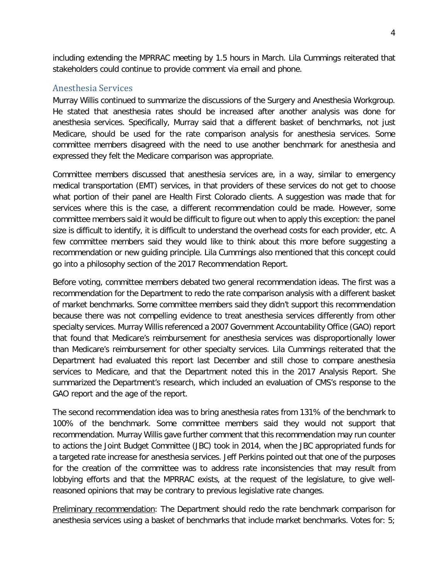including extending the MPRRAC meeting by 1.5 hours in March. Lila Cummings reiterated that stakeholders could continue to provide comment via email and phone.

#### Anesthesia Services

Murray Willis continued to summarize the discussions of the Surgery and Anesthesia Workgroup. He stated that anesthesia rates should be increased after another analysis was done for anesthesia services. Specifically, Murray said that a different basket of benchmarks, not just Medicare, should be used for the rate comparison analysis for anesthesia services. Some committee members disagreed with the need to use another benchmark for anesthesia and expressed they felt the Medicare comparison was appropriate.

Committee members discussed that anesthesia services are, in a way, similar to emergency medical transportation (EMT) services, in that providers of these services do not get to choose what portion of their panel are Health First Colorado clients. A suggestion was made that for services where this is the case, a different recommendation could be made. However, some committee members said it would be difficult to figure out when to apply this exception: the panel size is difficult to identify, it is difficult to understand the overhead costs for each provider, etc. A few committee members said they would like to think about this more before suggesting a recommendation or new guiding principle. Lila Cummings also mentioned that this concept could go into a philosophy section of the 2017 Recommendation Report.

Before voting, committee members debated two general recommendation ideas. The first was a recommendation for the Department to redo the rate comparison analysis with a different basket of market benchmarks. Some committee members said they didn't support this recommendation because there was not compelling evidence to treat anesthesia services differently from other specialty services. Murray Willis referenced a 2007 Government Accountability Office (GAO) report that found that Medicare's reimbursement for anesthesia services was disproportionally lower than Medicare's reimbursement for other specialty services. Lila Cummings reiterated that the Department had evaluated this report last December and still chose to compare anesthesia services to Medicare, and that the Department noted this in the 2017 Analysis Report. She summarized the Department's research, which included an evaluation of CMS's response to the GAO report and the age of the report.

The second recommendation idea was to bring anesthesia rates from 131% of the benchmark to 100% of the benchmark. Some committee members said they would not support that recommendation. Murray Willis gave further comment that this recommendation may run counter to actions the Joint Budget Committee (JBC) took in 2014, when the JBC appropriated funds for a targeted rate increase for anesthesia services. Jeff Perkins pointed out that one of the purposes for the creation of the committee was to address rate inconsistencies that may result from lobbying efforts and that the MPRRAC exists, at the request of the legislature, to give wellreasoned opinions that may be contrary to previous legislative rate changes.

Preliminary recommendation: The Department should redo the rate benchmark comparison for anesthesia services using a basket of benchmarks that include market benchmarks. Votes for: 5;